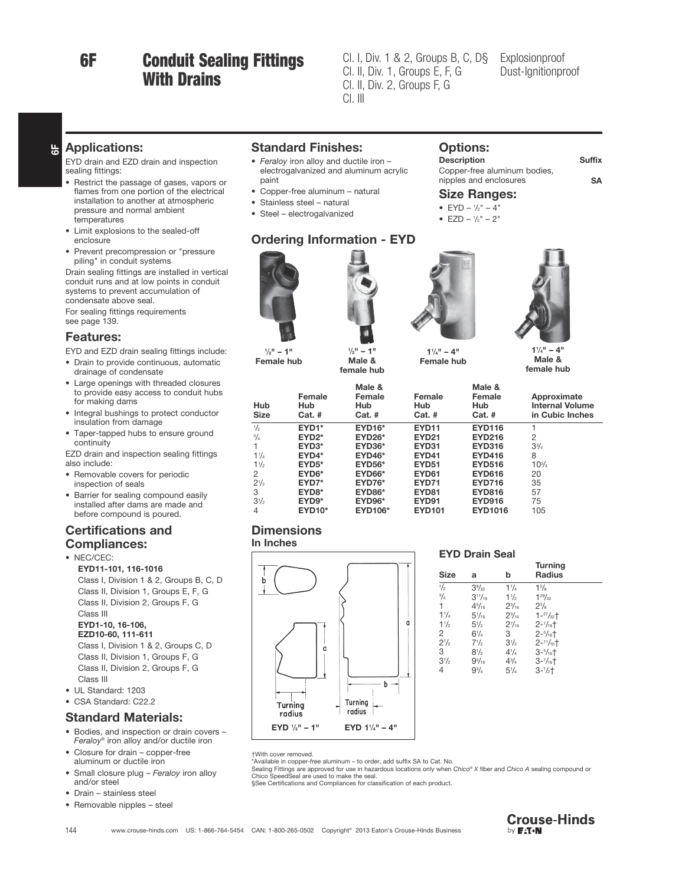6F

# Conduit Sealing Fittings With Drains

Cl. I, Div. 1 & 2, Groups B, C, D§ Explosionproof<br>Cl. II, Div. 1, Groups E, F, G Dust-Ignitionpr Cl. II, Div. 2, Groups F, G  $Cl.$  III

Options:

Size Ranges: •  $EYD - \frac{1}{2}$ " – 4" • EZD –  $\frac{1}{2}$ " – 2"

## Dust-Ignitionproof Dust-Ignitionproof

Description Suffix

nipples and enclosures SA

Copper-free aluminum bodies,

#### $\frac{\mu}{6}$ Applications:

EYD drain and EZD drain and inspection sealing fittings:

- Restrict the passage of gases, vapors or flames from one portion of the electrical installation to another at atmospheric pressure and normal ambient temperatures
- Limit explosions to the sealed-off enclosure
- Prevent precompression or "pressure piling" in conduit systems

Drain sealing fittings are installed in vertical conduit runs and at low points in conduit systems to prevent accumulation of condensate above seal.

For sealing fittings requirements see page 139.

#### Features:

EYD and EZD drain sealing fittings include:

- Drain to provide continuous, automatic drainage of condensate
- Large openings with threaded closures to provide easy access to conduit hubs for making dams
- Integral bushings to protect conductor insulation from damage
- Taper-tapped hubs to ensure ground continuity

EZD drain and inspection sealing fittings also include:

- Removable covers for periodic inspection of seals
- Barrier for sealing compound easily installed after dams are made and before compound is poured.

#### Certifications and Compliances:

• NEC/CEC:

EYD11-101, 116-1016 Class I, Division 1 & 2, Groups B, C, D Class II, Division 1, Groups E, F, G Class II, Division 2, Groups F, G Class III EYD1-10, 16-106, EZD10-60, 111-611 Class I, Division 1 & 2, Groups C, D Class II, Division 1, Groups F, G

Class II, Division 2, Groups F, G Class III

- UL Standard: 1203
- CSA Standard: C22.2

#### Standard Materials:

- Bodies, and inspection or drain covers Feraloy® iron alloy and/or ductile iron
- Closure for drain copper-free aluminum or ductile iron
- Small closure plug Feraloy iron alloy and/or steel
- Drain stainless steel
- Removable nipples steel

#### Standard Finishes:

- Feraloy iron alloy and ductile iron electrogalvanized and aluminum acrylic paint
- Copper-free aluminum natural
- Stainless steel natural
- Steel electrogalvanized

#### Ordering Information - EYD



 $\frac{1}{2}$ " – 1" Female hub



1  $= 1"$ Male & female hub



 $1\frac{1}{4}$ " – 4" Female hub

 $1\frac{1}{4}$ " – 4" Male & female hub

| Hub<br><b>Size</b> | Female<br>Hub<br>$Cat.$ # | Male &<br>Female<br>Hub<br>$Cat.$ # | Female<br>Hub<br>$Cat.$ # | Male &<br>Female<br>Hub<br>$Cat.$ # | Approximate<br><b>Internal Volume</b><br>in Cubic Inches |
|--------------------|---------------------------|-------------------------------------|---------------------------|-------------------------------------|----------------------------------------------------------|
| $\frac{1}{2}$      | $EYD1*$                   | <b>EYD16*</b>                       | <b>EYD11</b>              | <b>EYD116</b>                       |                                                          |
| $^{3}/_{4}$        | $EYD2*$                   | <b>EYD26*</b>                       | <b>EYD21</b>              | <b>EYD216</b>                       | 2                                                        |
|                    | $EYD3*$                   | $EYD36*$                            | <b>EYD31</b>              | <b>EYD316</b>                       | $3^{3}/_{4}$                                             |
| $1^{1}/_{4}$       | $EYD4*$                   | $EYD46*$                            | <b>EYD41</b>              | <b>EYD416</b>                       | 8                                                        |
| $1\frac{1}{2}$     | $EYD5*$                   | <b>EYD56*</b>                       | <b>EYD51</b>              | <b>EYD516</b>                       | $10^{3}/4$                                               |
| 2                  | $EYD6*$                   | <b>EYD66*</b>                       | EYD <sub>61</sub>         | <b>EYD616</b>                       | 20                                                       |
| $2^{1/2}$          | $EYD7*$                   | <b>EYD76*</b>                       | EYD71                     | <b>EYD716</b>                       | 35                                                       |
| 3                  | EYD <sub>8</sub> *        | <b>EYD86*</b>                       | EYD <sub>81</sub>         | <b>EYD816</b>                       | 57                                                       |
| $3\frac{1}{2}$     | $EYD9*$                   | $EYD96*$                            | EYD91                     | <b>EYD916</b>                       | 75                                                       |
| $\overline{4}$     | <b>EYD10*</b>             | <b>EYD106*</b>                      | <b>EYD101</b>             | <b>EYD1016</b>                      | 105                                                      |

#### **Dimensions**

In Inches



#### EYD Drain Seal

| <b>Size</b>    | a               | b               | <b>Turning</b><br><b>Radius</b> |  |
|----------------|-----------------|-----------------|---------------------------------|--|
| $\frac{1}{2}$  | $3\frac{9}{32}$ | 11/4            | 15/8                            |  |
| $^{3}/_{4}$    | $3^{11}/_{16}$  | $1\frac{1}{2}$  | $1^{29}/_{32}$                  |  |
| 1.             | $4^{5}/_{16}$   | $2\frac{3}{16}$ | $2^{3}/_{8}$                    |  |
| $1^{1}/_{4}$   | $5\frac{1}{16}$ | $2\frac{3}{16}$ | $1 - \frac{27}{32} +$           |  |
| $1\frac{1}{2}$ | $5\frac{1}{2}$  | $2^{7}/_{16}$   | $2 - \frac{1}{16}$              |  |
| 2              | $6\frac{1}{4}$  | 3               | $2 - \frac{5}{16} +$            |  |
| $2^{1/2}$      | $7\frac{1}{2}$  | $3\frac{1}{2}$  | $2 - 11/16$                     |  |
| 3              | $8\frac{1}{2}$  | $4^{1}/_{4}$    | $3 - \frac{5}{16} +$            |  |
| $3\frac{1}{2}$ | $9^{3}/_{16}$   | $4^{3}/_{4}$    | $3 - \frac{7}{16}$              |  |
| 4              | $9^{3}/_{4}$    | $5\frac{1}{4}$  | $3 - \frac{1}{2} +$             |  |
|                |                 |                 |                                 |  |

†With cover removed.

\*Available in copper-free aluminum – to order, add suffix SA to Cat. No.<br>Sealing Fittings are approved for use in hazardous locations only when C*hico® X* fiber and C*hico A* sealing compound or<br>Chico SpeedSeal are used to

§See Certifications and Compliances for classification of each product.